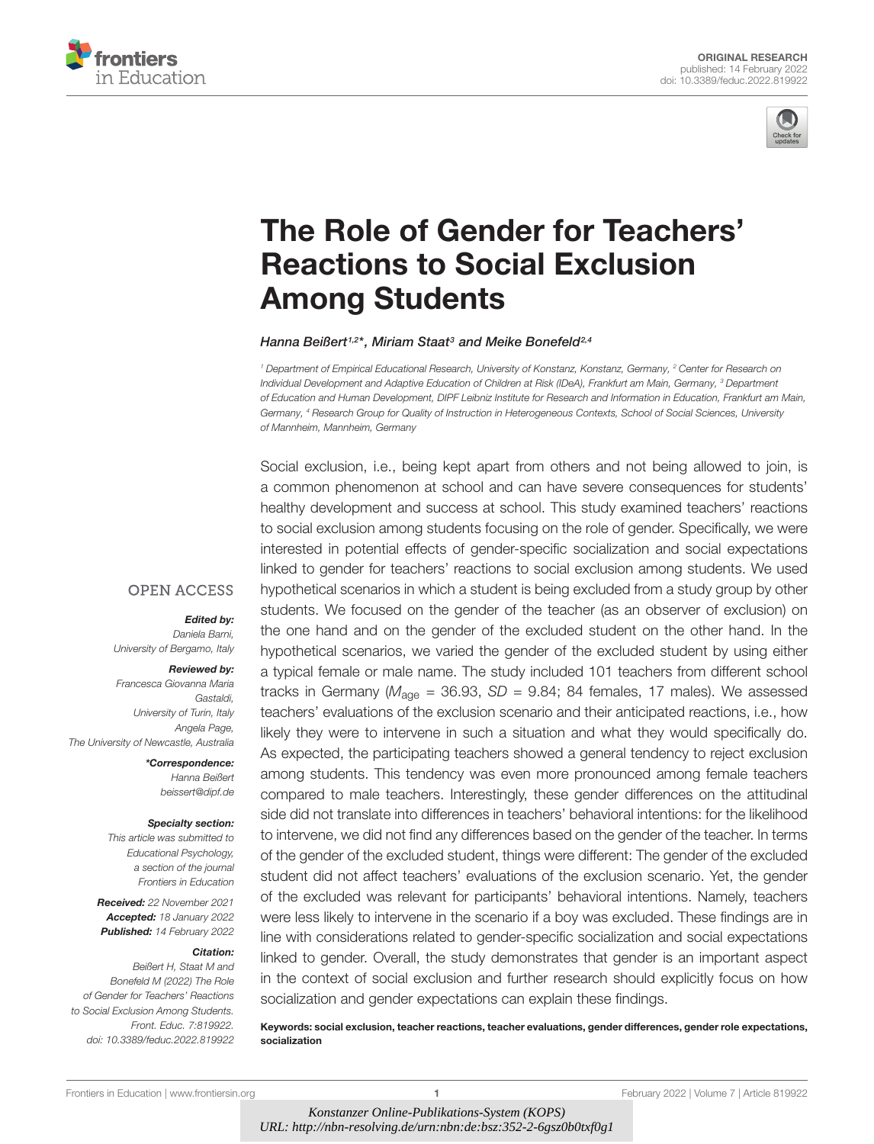



# [The Role of Gender for Teachers'](https://www.frontiersin.org/articles/10.3389/feduc.2022.819922/full) Reactions to Social Exclusion Among Students

Hanna Beißert1,2\*, Miriam Staat3 and Meike Bonefeld2,4

<sup>1</sup> Department of Empirical Educational Research, University of Konstanz, Konstanz, Germany, <sup>2</sup> Center for Research on Individual Development and Adaptive Education of Children at Risk (IDeA), Frankfurt am Main, Germany, <sup>3</sup> Department of Education and Human Development, DIPF Leibniz Institute for Research and Information in Education, Frankfurt am Main, Germany, <sup>4</sup> Research Group for Quality of Instruction in Heterogeneous Contexts, School of Social Sciences, University of Mannheim, Mannheim, Germany

Social exclusion, i.e., being kept apart from others and not being allowed to join, is

**OPEN ACCESS** 

#### Edited by:

Daniela Barni, University of Bergamo, Italy

#### Reviewed by:

Francesca Giovanna Maria Gastaldi, University of Turin, Italy Angela Page, The University of Newcastle, Australia

> \*Correspondence: Hanna Beißert beissert@dipf.de

#### Specialty section:

This article was submitted to Educational Psychology, a section of the journal Frontiers in Education

Received: 22 November 2021 Accepted: 18 January 2022 Published: 14 February 2022

#### Citation:

Beißert H, Staat M and Bonefeld M (2022) The Role of Gender for Teachers' Reactions to Social Exclusion Among Students. Front. Educ. 7:819922. doi: [10.3389/feduc.2022.819922](https://doi.org/10.3389/feduc.2022.819922) a common phenomenon at school and can have severe consequences for students' healthy development and success at school. This study examined teachers' reactions to social exclusion among students focusing on the role of gender. Specifically, we were interested in potential effects of gender-specific socialization and social expectations linked to gender for teachers' reactions to social exclusion among students. We used hypothetical scenarios in which a student is being excluded from a study group by other students. We focused on the gender of the teacher (as an observer of exclusion) on the one hand and on the gender of the excluded student on the other hand. In the hypothetical scenarios, we varied the gender of the excluded student by using either a typical female or male name. The study included 101 teachers from different school tracks in Germany ( $M_{\text{aqe}}$  = 36.93, SD = 9.84; 84 females, 17 males). We assessed teachers' evaluations of the exclusion scenario and their anticipated reactions, i.e., how likely they were to intervene in such a situation and what they would specifically do. As expected, the participating teachers showed a general tendency to reject exclusion among students. This tendency was even more pronounced among female teachers compared to male teachers. Interestingly, these gender differences on the attitudinal side did not translate into differences in teachers' behavioral intentions: for the likelihood to intervene, we did not find any differences based on the gender of the teacher. In terms of the gender of the excluded student, things were different: The gender of the excluded student did not affect teachers' evaluations of the exclusion scenario. Yet, the gender of the excluded was relevant for participants' behavioral intentions. Namely, teachers were less likely to intervene in the scenario if a boy was excluded. These findings are in line with considerations related to gender-specific socialization and social expectations linked to gender. Overall, the study demonstrates that gender is an important aspect in the context of social exclusion and further research should explicitly focus on how socialization and gender expectations can explain these findings.

Keywords: social exclusion, teacher reactions, teacher evaluations, gender differences, gender role expectations, socialization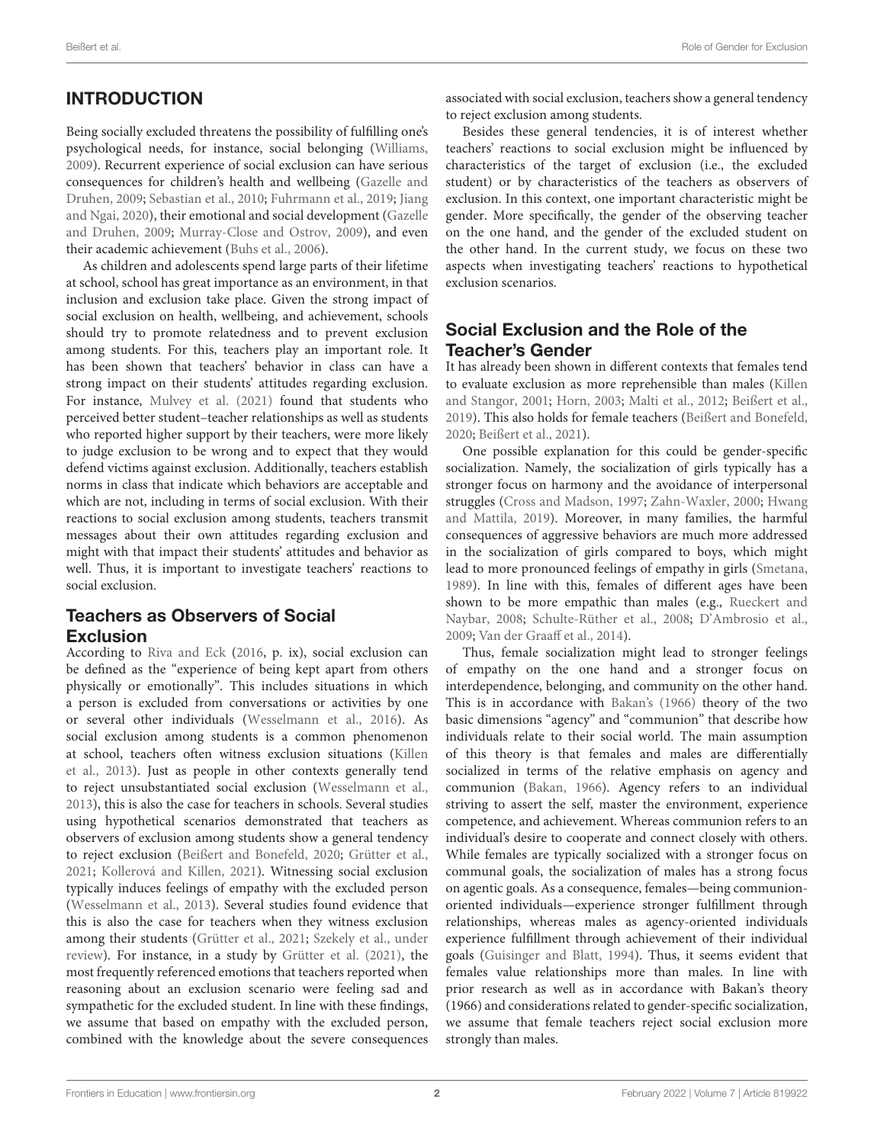# INTRODUCTION

Being socially excluded threatens the possibility of fulfilling one's psychological needs, for instance, social belonging [\(Williams,](#page-8-0) [2009\)](#page-8-0). Recurrent experience of social exclusion can have serious consequences for children's health and wellbeing [\(Gazelle and](#page-7-0) [Druhen,](#page-7-0) [2009;](#page-7-0) [Sebastian et al.,](#page-8-1) [2010;](#page-8-1) [Fuhrmann et al.,](#page-7-1) [2019;](#page-7-1) [Jiang](#page-8-2) [and Ngai,](#page-8-2) [2020\)](#page-8-2), their emotional and social development [\(Gazelle](#page-7-0) [and Druhen,](#page-7-0) [2009;](#page-7-0) [Murray-Close and Ostrov,](#page-8-3) [2009\)](#page-8-3), and even their academic achievement [\(Buhs et al.,](#page-7-2) [2006\)](#page-7-2).

As children and adolescents spend large parts of their lifetime at school, school has great importance as an environment, in that inclusion and exclusion take place. Given the strong impact of social exclusion on health, wellbeing, and achievement, schools should try to promote relatedness and to prevent exclusion among students. For this, teachers play an important role. It has been shown that teachers' behavior in class can have a strong impact on their students' attitudes regarding exclusion. For instance, [Mulvey et al.](#page-8-4) [\(2021\)](#page-8-4) found that students who perceived better student–teacher relationships as well as students who reported higher support by their teachers, were more likely to judge exclusion to be wrong and to expect that they would defend victims against exclusion. Additionally, teachers establish norms in class that indicate which behaviors are acceptable and which are not, including in terms of social exclusion. With their reactions to social exclusion among students, teachers transmit messages about their own attitudes regarding exclusion and might with that impact their students' attitudes and behavior as well. Thus, it is important to investigate teachers' reactions to social exclusion.

# Teachers as Observers of Social Exclusion

According to [Riva and Eck](#page-8-5) [\(2016,](#page-8-5) p. ix), social exclusion can be defined as the "experience of being kept apart from others physically or emotionally". This includes situations in which a person is excluded from conversations or activities by one or several other individuals [\(Wesselmann et al.,](#page-8-6) [2016\)](#page-8-6). As social exclusion among students is a common phenomenon at school, teachers often witness exclusion situations [\(Killen](#page-8-7) [et al.,](#page-8-7) [2013\)](#page-8-7). Just as people in other contexts generally tend to reject unsubstantiated social exclusion [\(Wesselmann et al.,](#page-8-8) [2013\)](#page-8-8), this is also the case for teachers in schools. Several studies using hypothetical scenarios demonstrated that teachers as observers of exclusion among students show a general tendency to reject exclusion [\(Beißert and Bonefeld,](#page-7-3) [2020;](#page-7-3) [Grütter et al.,](#page-7-4) [2021;](#page-7-4) [Kollerová and Killen,](#page-8-9) [2021\)](#page-8-9). Witnessing social exclusion typically induces feelings of empathy with the excluded person [\(Wesselmann et al.,](#page-8-8) [2013\)](#page-8-8). Several studies found evidence that this is also the case for teachers when they witness exclusion among their students [\(Grütter et al.,](#page-7-4) [2021;](#page-7-4) [Szekely et al.,](#page-8-10) [under](#page-8-10) [review\)](#page-8-10). For instance, in a study by [Grütter et al.](#page-7-4) [\(2021\)](#page-7-4), the most frequently referenced emotions that teachers reported when reasoning about an exclusion scenario were feeling sad and sympathetic for the excluded student. In line with these findings, we assume that based on empathy with the excluded person, combined with the knowledge about the severe consequences

associated with social exclusion, teachers show a general tendency to reject exclusion among students.

Besides these general tendencies, it is of interest whether teachers' reactions to social exclusion might be influenced by characteristics of the target of exclusion (i.e., the excluded student) or by characteristics of the teachers as observers of exclusion. In this context, one important characteristic might be gender. More specifically, the gender of the observing teacher on the one hand, and the gender of the excluded student on the other hand. In the current study, we focus on these two aspects when investigating teachers' reactions to hypothetical exclusion scenarios.

## Social Exclusion and the Role of the Teacher's Gender

It has already been shown in different contexts that females tend to evaluate exclusion as more reprehensible than males [\(Killen](#page-8-11) [and Stangor,](#page-8-11) [2001;](#page-8-11) [Horn,](#page-8-12) [2003;](#page-8-12) [Malti et al.,](#page-8-13) [2012;](#page-8-13) [Beißert et al.,](#page-7-5) [2019\)](#page-7-5). This also holds for female teachers [\(Beißert and Bonefeld,](#page-7-3) [2020;](#page-7-3) [Beißert et al.,](#page-7-6) [2021\)](#page-7-6).

One possible explanation for this could be gender-specific socialization. Namely, the socialization of girls typically has a stronger focus on harmony and the avoidance of interpersonal struggles [\(Cross and Madson,](#page-7-7) [1997;](#page-7-7) [Zahn-Waxler,](#page-8-14) [2000;](#page-8-14) [Hwang](#page-8-15) [and Mattila,](#page-8-15) [2019\)](#page-8-15). Moreover, in many families, the harmful consequences of aggressive behaviors are much more addressed in the socialization of girls compared to boys, which might lead to more pronounced feelings of empathy in girls [\(Smetana,](#page-8-16) [1989\)](#page-8-16). In line with this, females of different ages have been shown to be more empathic than males (e.g., [Rueckert and](#page-8-17) [Naybar,](#page-8-17) [2008;](#page-8-17) [Schulte-Rüther et al.,](#page-8-18) [2008;](#page-8-18) [D'Ambrosio et al.,](#page-7-8) [2009;](#page-7-8) [Van der Graaff et al.,](#page-8-19) [2014\)](#page-8-19).

Thus, female socialization might lead to stronger feelings of empathy on the one hand and a stronger focus on interdependence, belonging, and community on the other hand. This is in accordance with [Bakan'](#page-7-9)s [\(1966\)](#page-7-9) theory of the two basic dimensions "agency" and "communion" that describe how individuals relate to their social world. The main assumption of this theory is that females and males are differentially socialized in terms of the relative emphasis on agency and communion [\(Bakan,](#page-7-9) [1966\)](#page-7-9). Agency refers to an individual striving to assert the self, master the environment, experience competence, and achievement. Whereas communion refers to an individual's desire to cooperate and connect closely with others. While females are typically socialized with a stronger focus on communal goals, the socialization of males has a strong focus on agentic goals. As a consequence, females—being communionoriented individuals—experience stronger fulfillment through relationships, whereas males as agency-oriented individuals experience fulfillment through achievement of their individual goals [\(Guisinger and Blatt,](#page-7-10) [1994\)](#page-7-10). Thus, it seems evident that females value relationships more than males. In line with prior research as well as in accordance with Bakan's theory (1966) and considerations related to gender-specific socialization, we assume that female teachers reject social exclusion more strongly than males.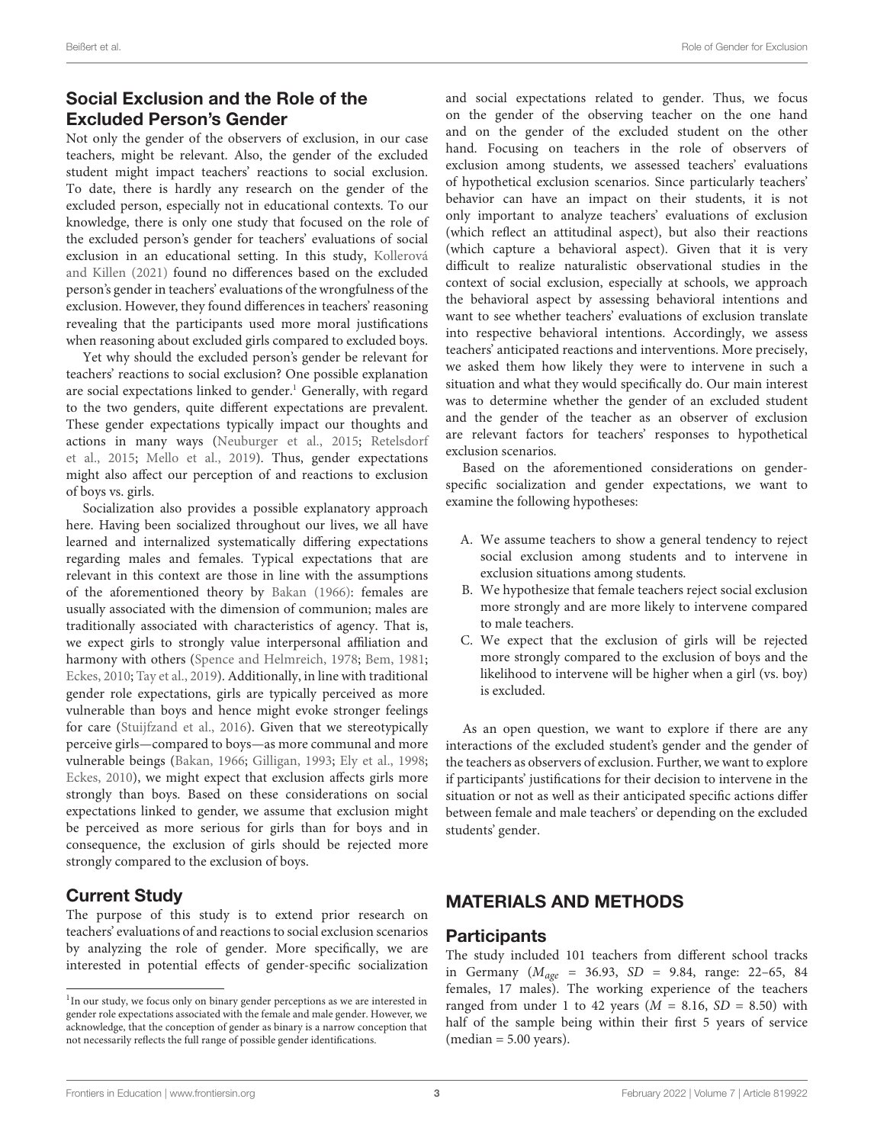# Social Exclusion and the Role of the Excluded Person's Gender

Not only the gender of the observers of exclusion, in our case teachers, might be relevant. Also, the gender of the excluded student might impact teachers' reactions to social exclusion. To date, there is hardly any research on the gender of the excluded person, especially not in educational contexts. To our knowledge, there is only one study that focused on the role of the excluded person's gender for teachers' evaluations of social exclusion in an educational setting. In this study, [Kollerová](#page-8-9) [and Killen](#page-8-9) [\(2021\)](#page-8-9) found no differences based on the excluded person's gender in teachers' evaluations of the wrongfulness of the exclusion. However, they found differences in teachers' reasoning revealing that the participants used more moral justifications when reasoning about excluded girls compared to excluded boys.

Yet why should the excluded person's gender be relevant for teachers' reactions to social exclusion? One possible explanation are social expectations linked to gender.<sup>[1](#page-2-0)</sup> Generally, with regard to the two genders, quite different expectations are prevalent. These gender expectations typically impact our thoughts and actions in many ways [\(Neuburger et al.,](#page-8-20) [2015;](#page-8-20) [Retelsdorf](#page-8-21) [et al.,](#page-8-21) [2015;](#page-8-21) [Mello et al.,](#page-8-22) [2019\)](#page-8-22). Thus, gender expectations might also affect our perception of and reactions to exclusion of boys vs. girls.

Socialization also provides a possible explanatory approach here. Having been socialized throughout our lives, we all have learned and internalized systematically differing expectations regarding males and females. Typical expectations that are relevant in this context are those in line with the assumptions of the aforementioned theory by [Bakan](#page-7-9) [\(1966\)](#page-7-9): females are usually associated with the dimension of communion; males are traditionally associated with characteristics of agency. That is, we expect girls to strongly value interpersonal affiliation and harmony with others [\(Spence and Helmreich,](#page-8-23) [1978;](#page-8-23) [Bem,](#page-7-11) [1981;](#page-7-11) [Eckes,](#page-7-12) [2010;](#page-7-12) [Tay et al.,](#page-8-24) [2019\)](#page-8-24). Additionally, in line with traditional gender role expectations, girls are typically perceived as more vulnerable than boys and hence might evoke stronger feelings for care [\(Stuijfzand et al.,](#page-8-25) [2016\)](#page-8-25). Given that we stereotypically perceive girls—compared to boys—as more communal and more vulnerable beings [\(Bakan,](#page-7-9) [1966;](#page-7-9) [Gilligan,](#page-7-13) [1993;](#page-7-13) [Ely et al.,](#page-7-14) [1998;](#page-7-14) [Eckes,](#page-7-12) [2010\)](#page-7-12), we might expect that exclusion affects girls more strongly than boys. Based on these considerations on social expectations linked to gender, we assume that exclusion might be perceived as more serious for girls than for boys and in consequence, the exclusion of girls should be rejected more strongly compared to the exclusion of boys.

# Current Study

The purpose of this study is to extend prior research on teachers' evaluations of and reactions to social exclusion scenarios by analyzing the role of gender. More specifically, we are interested in potential effects of gender-specific socialization and social expectations related to gender. Thus, we focus on the gender of the observing teacher on the one hand and on the gender of the excluded student on the other hand. Focusing on teachers in the role of observers of exclusion among students, we assessed teachers' evaluations of hypothetical exclusion scenarios. Since particularly teachers' behavior can have an impact on their students, it is not only important to analyze teachers' evaluations of exclusion (which reflect an attitudinal aspect), but also their reactions (which capture a behavioral aspect). Given that it is very difficult to realize naturalistic observational studies in the context of social exclusion, especially at schools, we approach the behavioral aspect by assessing behavioral intentions and want to see whether teachers' evaluations of exclusion translate into respective behavioral intentions. Accordingly, we assess teachers' anticipated reactions and interventions. More precisely, we asked them how likely they were to intervene in such a situation and what they would specifically do. Our main interest was to determine whether the gender of an excluded student and the gender of the teacher as an observer of exclusion are relevant factors for teachers' responses to hypothetical exclusion scenarios.

Based on the aforementioned considerations on genderspecific socialization and gender expectations, we want to examine the following hypotheses:

- A. We assume teachers to show a general tendency to reject social exclusion among students and to intervene in exclusion situations among students.
- B. We hypothesize that female teachers reject social exclusion more strongly and are more likely to intervene compared to male teachers.
- C. We expect that the exclusion of girls will be rejected more strongly compared to the exclusion of boys and the likelihood to intervene will be higher when a girl (vs. boy) is excluded.

As an open question, we want to explore if there are any interactions of the excluded student's gender and the gender of the teachers as observers of exclusion. Further, we want to explore if participants' justifications for their decision to intervene in the situation or not as well as their anticipated specific actions differ between female and male teachers' or depending on the excluded students' gender.

# MATERIALS AND METHODS

#### **Participants**

The study included 101 teachers from different school tracks in Germany ( $M_{age}$  = 36.93, SD = 9.84, range: 22-65, 84 females, 17 males). The working experience of the teachers ranged from under 1 to 42 years ( $M = 8.16$ ,  $SD = 8.50$ ) with half of the sample being within their first 5 years of service  $(median = 5.00 years).$ 

<span id="page-2-0"></span><sup>&</sup>lt;sup>1</sup> In our study, we focus only on binary gender perceptions as we are interested in gender role expectations associated with the female and male gender. However, we acknowledge, that the conception of gender as binary is a narrow conception that not necessarily reflects the full range of possible gender identifications.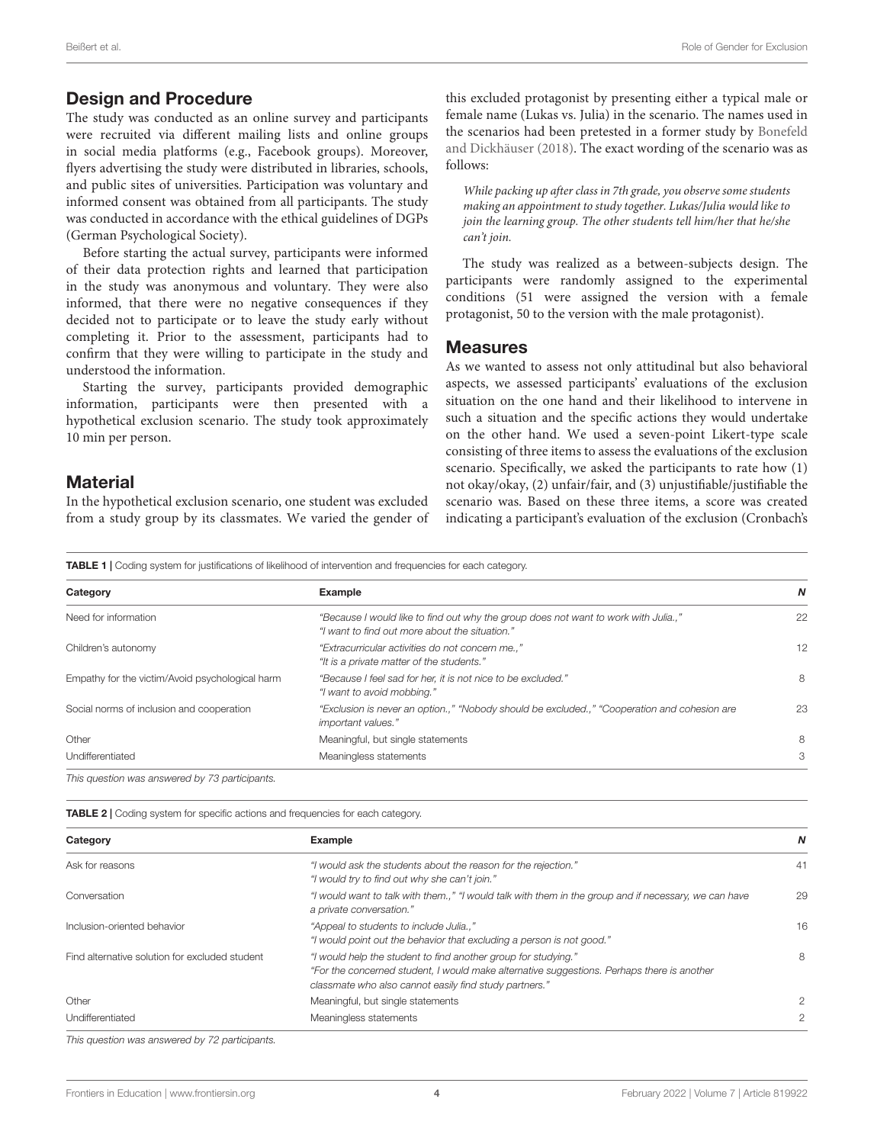#### Design and Procedure

The study was conducted as an online survey and participants were recruited via different mailing lists and online groups in social media platforms (e.g., Facebook groups). Moreover, flyers advertising the study were distributed in libraries, schools, and public sites of universities. Participation was voluntary and informed consent was obtained from all participants. The study was conducted in accordance with the ethical guidelines of DGPs (German Psychological Society).

Before starting the actual survey, participants were informed of their data protection rights and learned that participation in the study was anonymous and voluntary. They were also informed, that there were no negative consequences if they decided not to participate or to leave the study early without completing it. Prior to the assessment, participants had to confirm that they were willing to participate in the study and understood the information.

Starting the survey, participants provided demographic information, participants were then presented with a hypothetical exclusion scenario. The study took approximately 10 min per person.

#### **Material**

In the hypothetical exclusion scenario, one student was excluded from a study group by its classmates. We varied the gender of this excluded protagonist by presenting either a typical male or female name (Lukas vs. Julia) in the scenario. The names used in the scenarios had been pretested in a former study by [Bonefeld](#page-7-15) [and Dickhäuser](#page-7-15) [\(2018\)](#page-7-15). The exact wording of the scenario was as follows:

While packing up after class in 7th grade, you observe some students making an appointment to study together. Lukas/Julia would like to join the learning group. The other students tell him/her that he/she can't join.

The study was realized as a between-subjects design. The participants were randomly assigned to the experimental conditions (51 were assigned the version with a female protagonist, 50 to the version with the male protagonist).

#### Measures

As we wanted to assess not only attitudinal but also behavioral aspects, we assessed participants' evaluations of the exclusion situation on the one hand and their likelihood to intervene in such a situation and the specific actions they would undertake on the other hand. We used a seven-point Likert-type scale consisting of three items to assess the evaluations of the exclusion scenario. Specifically, we asked the participants to rate how (1) not okay/okay, (2) unfair/fair, and (3) unjustifiable/justifiable the scenario was. Based on these three items, a score was created indicating a participant's evaluation of the exclusion (Cronbach's

<span id="page-3-0"></span>TABLE 1 | Coding system for justifications of likelihood of intervention and frequencies for each category.

| Category                                        | Example                                                                                                                             | N  |
|-------------------------------------------------|-------------------------------------------------------------------------------------------------------------------------------------|----|
| Need for information                            | "Because I would like to find out why the group does not want to work with Julia"<br>"I want to find out more about the situation." | 22 |
| Children's autonomy                             | "Extracurricular activities do not concern me"<br>"It is a private matter of the students."                                         | 12 |
| Empathy for the victim/Avoid psychological harm | "Because I feel sad for her, it is not nice to be excluded."<br>"I want to avoid mobbing."                                          | 8  |
| Social norms of inclusion and cooperation       | "Exclusion is never an option.," "Nobody should be excluded.," "Cooperation and cohesion are<br>important values."                  | 23 |
| Other                                           | Meaningful, but single statements                                                                                                   | 8  |
| Undifferentiated                                | Meaningless statements                                                                                                              | 3  |

This question was answered by 73 participants.

<span id="page-3-1"></span>TABLE 2 | Coding system for specific actions and frequencies for each category.

| Category                                       | Example                                                                                                                                                                                                                | N  |
|------------------------------------------------|------------------------------------------------------------------------------------------------------------------------------------------------------------------------------------------------------------------------|----|
| Ask for reasons                                | "I would ask the students about the reason for the rejection."<br>"I would try to find out why she can't join."                                                                                                        | 41 |
| Conversation                                   | "I would want to talk with them.," "I would talk with them in the group and if necessary, we can have<br>a private conversation."                                                                                      | 29 |
| Inclusion-oriented behavior                    | "Appeal to students to include Julia"<br>"I would point out the behavior that excluding a person is not good."                                                                                                         | 16 |
| Find alternative solution for excluded student | "I would help the student to find another group for studying."<br>"For the concerned student, I would make alternative suggestions. Perhaps there is another<br>classmate who also cannot easily find study partners." | 8  |
| Other                                          | Meaningful, but single statements                                                                                                                                                                                      | 2  |
| Undifferentiated                               | Meaningless statements                                                                                                                                                                                                 | 2  |

This question was answered by 72 participants.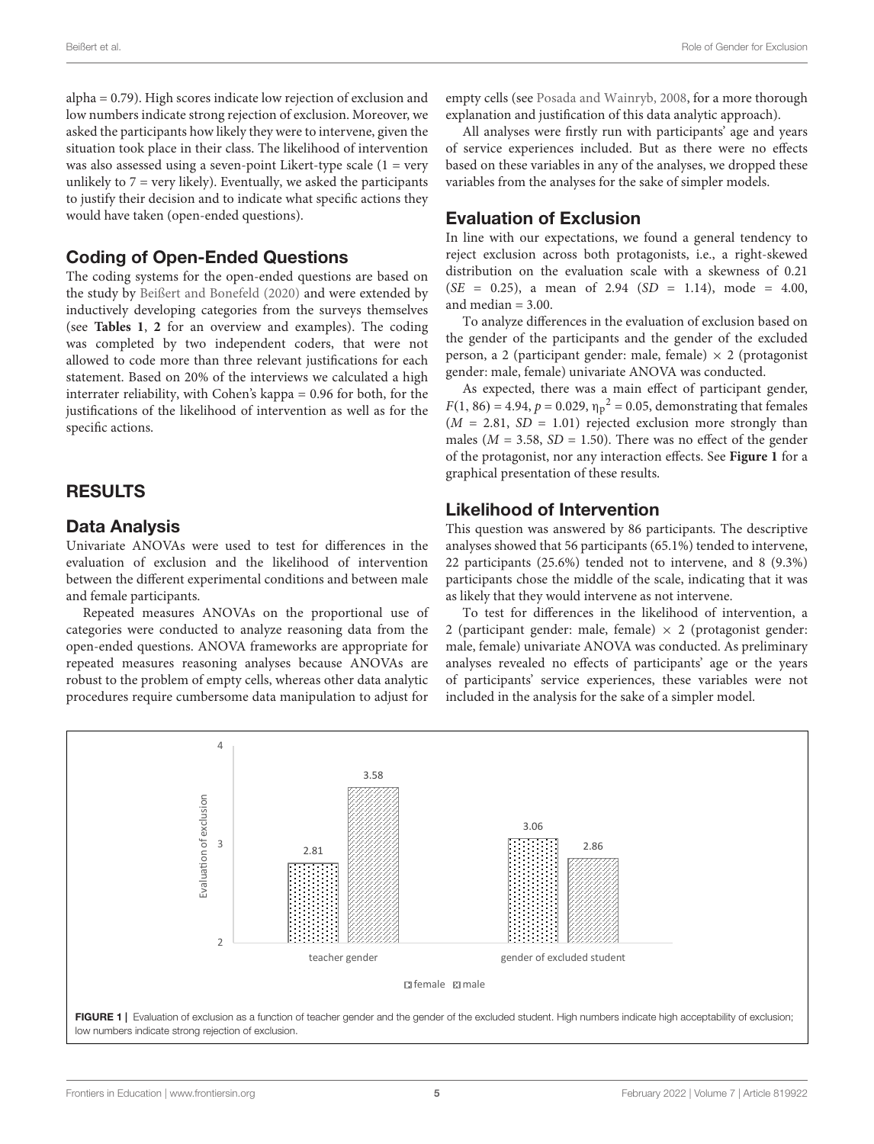alpha = 0.79). High scores indicate low rejection of exclusion and low numbers indicate strong rejection of exclusion. Moreover, we asked the participants how likely they were to intervene, given the situation took place in their class. The likelihood of intervention was also assessed using a seven-point Likert-type scale  $(1 = \text{very}$ unlikely to  $7 = \text{very likely}$ . Eventually, we asked the participants to justify their decision and to indicate what specific actions they would have taken (open-ended questions).

#### Coding of Open-Ended Questions

The coding systems for the open-ended questions are based on the study by [Beißert and Bonefeld](#page-7-3) [\(2020\)](#page-7-3) and were extended by inductively developing categories from the surveys themselves (see **[Tables 1](#page-3-0)**, **[2](#page-3-1)** for an overview and examples). The coding was completed by two independent coders, that were not allowed to code more than three relevant justifications for each statement. Based on 20% of the interviews we calculated a high interrater reliability, with Cohen's kappa = 0.96 for both, for the justifications of the likelihood of intervention as well as for the specific actions.

## RESULTS

#### Data Analysis

Univariate ANOVAs were used to test for differences in the evaluation of exclusion and the likelihood of intervention between the different experimental conditions and between male and female participants.

Repeated measures ANOVAs on the proportional use of categories were conducted to analyze reasoning data from the open-ended questions. ANOVA frameworks are appropriate for repeated measures reasoning analyses because ANOVAs are robust to the problem of empty cells, whereas other data analytic procedures require cumbersome data manipulation to adjust for empty cells (see [Posada and Wainryb,](#page-8-26) [2008,](#page-8-26) for a more thorough explanation and justification of this data analytic approach).

All analyses were firstly run with participants' age and years of service experiences included. But as there were no effects based on these variables in any of the analyses, we dropped these variables from the analyses for the sake of simpler models.

#### Evaluation of Exclusion

In line with our expectations, we found a general tendency to reject exclusion across both protagonists, i.e., a right-skewed distribution on the evaluation scale with a skewness of 0.21  $(SE = 0.25)$ , a mean of 2.94  $(SD = 1.14)$ , mode = 4.00, and median  $= 3.00$ .

To analyze differences in the evaluation of exclusion based on the gender of the participants and the gender of the excluded person, a 2 (participant gender: male, female)  $\times$  2 (protagonist gender: male, female) univariate ANOVA was conducted.

As expected, there was a main effect of participant gender,  $F(1, 86) = 4.94, p = 0.029, \eta_p^2 = 0.05$ , demonstrating that females  $(M = 2.81, SD = 1.01)$  rejected exclusion more strongly than males ( $M = 3.58$ ,  $SD = 1.50$ ). There was no effect of the gender of the protagonist, nor any interaction effects. See **[Figure 1](#page-4-0)** for a graphical presentation of these results.

#### Likelihood of Intervention

This question was answered by 86 participants. The descriptive analyses showed that 56 participants (65.1%) tended to intervene, 22 participants (25.6%) tended not to intervene, and 8 (9.3%) participants chose the middle of the scale, indicating that it was as likely that they would intervene as not intervene.

To test for differences in the likelihood of intervention, a 2 (participant gender: male, female)  $\times$  2 (protagonist gender: male, female) univariate ANOVA was conducted. As preliminary analyses revealed no effects of participants' age or the years of participants' service experiences, these variables were not included in the analysis for the sake of a simpler model.

<span id="page-4-0"></span>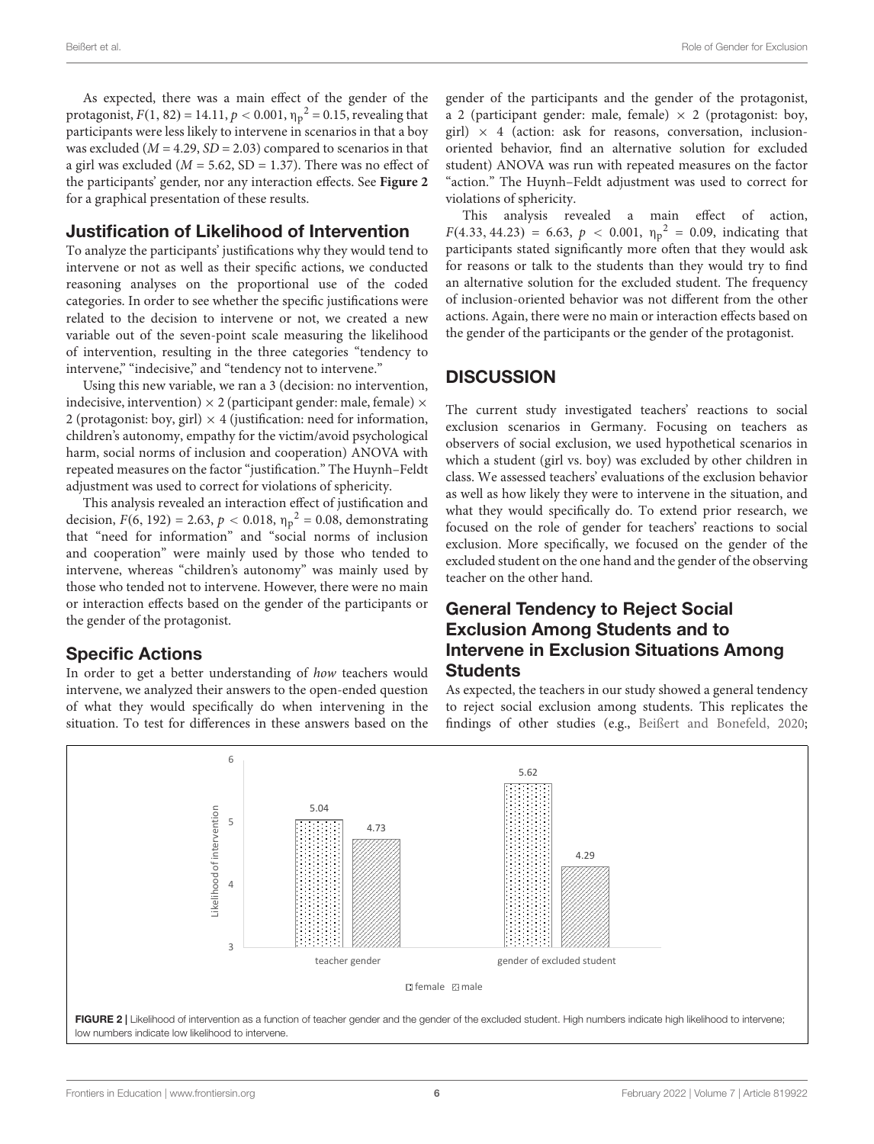As expected, there was a main effect of the gender of the protagonist,  $F(1, 82) = 14.11, p < 0.001, \eta_p^2 = 0.15$ , revealing that participants were less likely to intervene in scenarios in that a boy was excluded ( $M = 4.29$ ,  $SD = 2.03$ ) compared to scenarios in that a girl was excluded ( $M = 5.62$ , SD = 1.37). There was no effect of the participants' gender, nor any interaction effects. See **[Figure 2](#page-5-0)** for a graphical presentation of these results.

#### Justification of Likelihood of Intervention

To analyze the participants' justifications why they would tend to intervene or not as well as their specific actions, we conducted reasoning analyses on the proportional use of the coded categories. In order to see whether the specific justifications were related to the decision to intervene or not, we created a new variable out of the seven-point scale measuring the likelihood of intervention, resulting in the three categories "tendency to intervene," "indecisive," and "tendency not to intervene."

Using this new variable, we ran a 3 (decision: no intervention, indecisive, intervention)  $\times$  2 (participant gender: male, female)  $\times$ 2 (protagonist: boy, girl)  $\times$  4 (justification: need for information, children's autonomy, empathy for the victim/avoid psychological harm, social norms of inclusion and cooperation) ANOVA with repeated measures on the factor "justification." The Huynh–Feldt adjustment was used to correct for violations of sphericity.

This analysis revealed an interaction effect of justification and decision,  $F(6, 192) = 2.63$ ,  $p < 0.018$ ,  $\eta_p^2 = 0.08$ , demonstrating that "need for information" and "social norms of inclusion and cooperation" were mainly used by those who tended to intervene, whereas "children's autonomy" was mainly used by those who tended not to intervene. However, there were no main or interaction effects based on the gender of the participants or the gender of the protagonist.

## Specific Actions

In order to get a better understanding of how teachers would intervene, we analyzed their answers to the open-ended question of what they would specifically do when intervening in the situation. To test for differences in these answers based on the gender of the participants and the gender of the protagonist, a 2 (participant gender: male, female)  $\times$  2 (protagonist: boy, girl)  $\times$  4 (action: ask for reasons, conversation, inclusionoriented behavior, find an alternative solution for excluded student) ANOVA was run with repeated measures on the factor "action." The Huynh–Feldt adjustment was used to correct for violations of sphericity.

This analysis revealed a main effect of action,  $F(4.33, 44.23) = 6.63, p < 0.001, \eta_p^2 = 0.09$ , indicating that participants stated significantly more often that they would ask for reasons or talk to the students than they would try to find an alternative solution for the excluded student. The frequency of inclusion-oriented behavior was not different from the other actions. Again, there were no main or interaction effects based on the gender of the participants or the gender of the protagonist.

## **DISCUSSION**

The current study investigated teachers' reactions to social exclusion scenarios in Germany. Focusing on teachers as observers of social exclusion, we used hypothetical scenarios in which a student (girl vs. boy) was excluded by other children in class. We assessed teachers' evaluations of the exclusion behavior as well as how likely they were to intervene in the situation, and what they would specifically do. To extend prior research, we focused on the role of gender for teachers' reactions to social exclusion. More specifically, we focused on the gender of the excluded student on the one hand and the gender of the observing teacher on the other hand.

# General Tendency to Reject Social Exclusion Among Students and to Intervene in Exclusion Situations Among **Students**

As expected, the teachers in our study showed a general tendency to reject social exclusion among students. This replicates the findings of other studies (e.g., [Beißert and Bonefeld,](#page-7-3) [2020;](#page-7-3)

<span id="page-5-0"></span>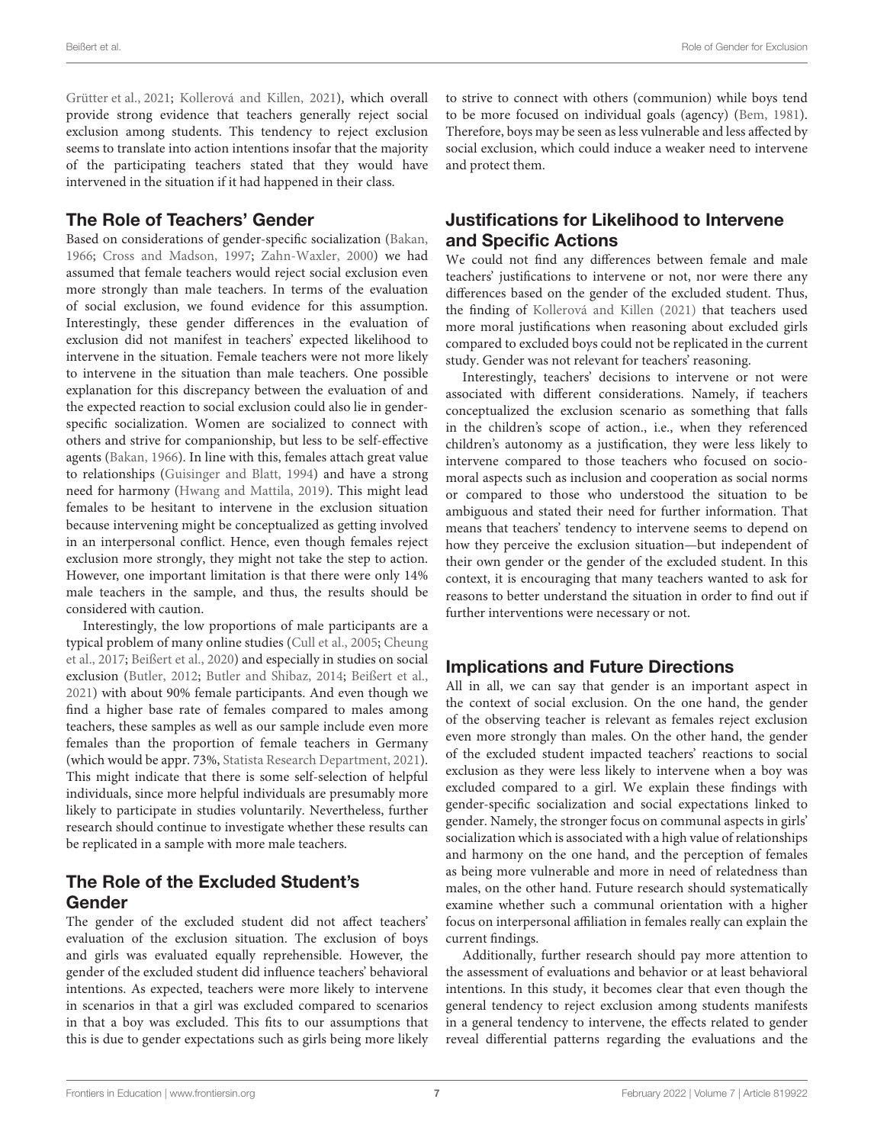[Grütter et al.,](#page-7-4) [2021;](#page-7-4) [Kollerová and Killen,](#page-8-9) [2021\)](#page-8-9), which overall provide strong evidence that teachers generally reject social exclusion among students. This tendency to reject exclusion seems to translate into action intentions insofar that the majority of the participating teachers stated that they would have intervened in the situation if it had happened in their class.

#### The Role of Teachers' Gender

Based on considerations of gender-specific socialization [\(Bakan,](#page-7-9) [1966;](#page-7-9) [Cross and Madson,](#page-7-7) [1997;](#page-7-7) [Zahn-Waxler,](#page-8-14) [2000\)](#page-8-14) we had assumed that female teachers would reject social exclusion even more strongly than male teachers. In terms of the evaluation of social exclusion, we found evidence for this assumption. Interestingly, these gender differences in the evaluation of exclusion did not manifest in teachers' expected likelihood to intervene in the situation. Female teachers were not more likely to intervene in the situation than male teachers. One possible explanation for this discrepancy between the evaluation of and the expected reaction to social exclusion could also lie in genderspecific socialization. Women are socialized to connect with others and strive for companionship, but less to be self-effective agents [\(Bakan,](#page-7-9) [1966\)](#page-7-9). In line with this, females attach great value to relationships [\(Guisinger and Blatt,](#page-7-10) [1994\)](#page-7-10) and have a strong need for harmony [\(Hwang and Mattila,](#page-8-15) [2019\)](#page-8-15). This might lead females to be hesitant to intervene in the exclusion situation because intervening might be conceptualized as getting involved in an interpersonal conflict. Hence, even though females reject exclusion more strongly, they might not take the step to action. However, one important limitation is that there were only 14% male teachers in the sample, and thus, the results should be considered with caution.

Interestingly, the low proportions of male participants are a typical problem of many online studies [\(Cull et al.,](#page-7-16) [2005;](#page-7-16) [Cheung](#page-7-17) [et al.,](#page-7-17) [2017;](#page-7-17) [Beißert et al.,](#page-7-18) [2020\)](#page-7-18) and especially in studies on social exclusion [\(Butler,](#page-7-19) [2012;](#page-7-19) [Butler and Shibaz,](#page-7-20) [2014;](#page-7-20) [Beißert et al.,](#page-7-6) [2021\)](#page-7-6) with about 90% female participants. And even though we find a higher base rate of females compared to males among teachers, these samples as well as our sample include even more females than the proportion of female teachers in Germany (which would be appr. 73%, [Statista Research Department,](#page-8-27) [2021\)](#page-8-27). This might indicate that there is some self-selection of helpful individuals, since more helpful individuals are presumably more likely to participate in studies voluntarily. Nevertheless, further research should continue to investigate whether these results can be replicated in a sample with more male teachers.

# The Role of the Excluded Student's Gender

The gender of the excluded student did not affect teachers' evaluation of the exclusion situation. The exclusion of boys and girls was evaluated equally reprehensible. However, the gender of the excluded student did influence teachers' behavioral intentions. As expected, teachers were more likely to intervene in scenarios in that a girl was excluded compared to scenarios in that a boy was excluded. This fits to our assumptions that this is due to gender expectations such as girls being more likely

to strive to connect with others (communion) while boys tend to be more focused on individual goals (agency) [\(Bem,](#page-7-11) [1981\)](#page-7-11). Therefore, boys may be seen as less vulnerable and less affected by social exclusion, which could induce a weaker need to intervene and protect them.

# Justifications for Likelihood to Intervene and Specific Actions

We could not find any differences between female and male teachers' justifications to intervene or not, nor were there any differences based on the gender of the excluded student. Thus, the finding of [Kollerová and Killen](#page-8-9) [\(2021\)](#page-8-9) that teachers used more moral justifications when reasoning about excluded girls compared to excluded boys could not be replicated in the current study. Gender was not relevant for teachers' reasoning.

Interestingly, teachers' decisions to intervene or not were associated with different considerations. Namely, if teachers conceptualized the exclusion scenario as something that falls in the children's scope of action., i.e., when they referenced children's autonomy as a justification, they were less likely to intervene compared to those teachers who focused on sociomoral aspects such as inclusion and cooperation as social norms or compared to those who understood the situation to be ambiguous and stated their need for further information. That means that teachers' tendency to intervene seems to depend on how they perceive the exclusion situation—but independent of their own gender or the gender of the excluded student. In this context, it is encouraging that many teachers wanted to ask for reasons to better understand the situation in order to find out if further interventions were necessary or not.

## Implications and Future Directions

All in all, we can say that gender is an important aspect in the context of social exclusion. On the one hand, the gender of the observing teacher is relevant as females reject exclusion even more strongly than males. On the other hand, the gender of the excluded student impacted teachers' reactions to social exclusion as they were less likely to intervene when a boy was excluded compared to a girl. We explain these findings with gender-specific socialization and social expectations linked to gender. Namely, the stronger focus on communal aspects in girls' socialization which is associated with a high value of relationships and harmony on the one hand, and the perception of females as being more vulnerable and more in need of relatedness than males, on the other hand. Future research should systematically examine whether such a communal orientation with a higher focus on interpersonal affiliation in females really can explain the current findings.

Additionally, further research should pay more attention to the assessment of evaluations and behavior or at least behavioral intentions. In this study, it becomes clear that even though the general tendency to reject exclusion among students manifests in a general tendency to intervene, the effects related to gender reveal differential patterns regarding the evaluations and the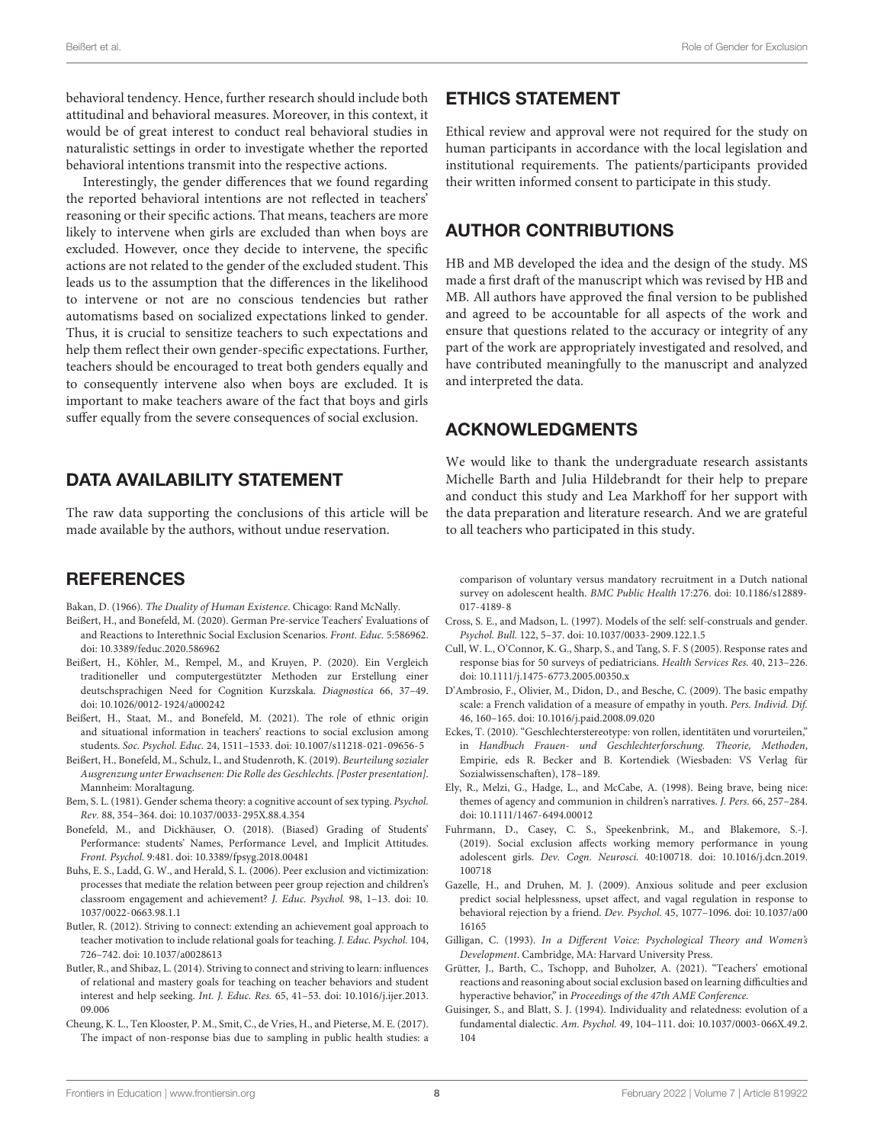behavioral tendency. Hence, further research should include both attitudinal and behavioral measures. Moreover, in this context, it would be of great interest to conduct real behavioral studies in naturalistic settings in order to investigate whether the reported behavioral intentions transmit into the respective actions.

Interestingly, the gender differences that we found regarding the reported behavioral intentions are not reflected in teachers' reasoning or their specific actions. That means, teachers are more likely to intervene when girls are excluded than when boys are excluded. However, once they decide to intervene, the specific actions are not related to the gender of the excluded student. This leads us to the assumption that the differences in the likelihood to intervene or not are no conscious tendencies but rather automatisms based on socialized expectations linked to gender. Thus, it is crucial to sensitize teachers to such expectations and help them reflect their own gender-specific expectations. Further, teachers should be encouraged to treat both genders equally and to consequently intervene also when boys are excluded. It is important to make teachers aware of the fact that boys and girls suffer equally from the severe consequences of social exclusion.

# DATA AVAILABILITY STATEMENT

The raw data supporting the conclusions of this article will be made available by the authors, without undue reservation.

## **REFERENCES**

- <span id="page-7-9"></span>Bakan, D. (1966). The Duality of Human Existence. Chicago: Rand McNally.
- <span id="page-7-3"></span>Beißert, H., and Bonefeld, M. (2020). German Pre-service Teachers' Evaluations of and Reactions to Interethnic Social Exclusion Scenarios. Front. Educ. 5:586962. [doi: 10.3389/feduc.2020.586962](https://doi.org/10.3389/feduc.2020.586962)
- <span id="page-7-18"></span>Beißert, H., Köhler, M., Rempel, M., and Kruyen, P. (2020). Ein Vergleich traditioneller und computergestützter Methoden zur Erstellung einer deutschsprachigen Need for Cognition Kurzskala. Diagnostica 66, 37–49. [doi: 10.1026/0012-1924/a000242](https://doi.org/10.1026/0012-1924/a000242)
- <span id="page-7-6"></span>Beißert, H., Staat, M., and Bonefeld, M. (2021). The role of ethnic origin and situational information in teachers' reactions to social exclusion among students. Soc. Psychol. Educ. 24, 1511–1533. [doi: 10.1007/s11218-021-09656-5](https://doi.org/10.1007/s11218-021-09656-5)
- <span id="page-7-5"></span>Beißert, H., Bonefeld, M., Schulz, I., and Studenroth, K. (2019). Beurteilung sozialer Ausgrenzung unter Erwachsenen: Die Rolle des Geschlechts. [Poster presentation]. Mannheim: Moraltagung.
- <span id="page-7-11"></span>Bem, S. L. (1981). Gender schema theory: a cognitive account of sex typing. Psychol. Rev. 88, 354–364. [doi: 10.1037/0033-295X.88.4.354](https://doi.org/10.1037/0033-295X.88.4.354)
- <span id="page-7-15"></span>Bonefeld, M., and Dickhäuser, O. (2018). (Biased) Grading of Students' Performance: students' Names, Performance Level, and Implicit Attitudes. Front. Psychol. 9:481. [doi: 10.3389/fpsyg.2018.00481](https://doi.org/10.3389/fpsyg.2018.00481)
- <span id="page-7-2"></span>Buhs, E. S., Ladd, G. W., and Herald, S. L. (2006). Peer exclusion and victimization: processes that mediate the relation between peer group rejection and children's classroom engagement and achievement? J. Educ. Psychol. 98, 1–13. [doi: 10.](https://doi.org/10.1037/0022-0663.98.1.1) [1037/0022-0663.98.1.1](https://doi.org/10.1037/0022-0663.98.1.1)
- <span id="page-7-19"></span>Butler, R. (2012). Striving to connect: extending an achievement goal approach to teacher motivation to include relational goals for teaching. J. Educ. Psychol. 104, 726–742. [doi: 10.1037/a0028613](https://doi.org/10.1037/a0028613)
- <span id="page-7-20"></span>Butler, R., and Shibaz, L. (2014). Striving to connect and striving to learn: influences of relational and mastery goals for teaching on teacher behaviors and student interest and help seeking. Int. J. Educ. Res. 65, 41–53. [doi: 10.1016/j.ijer.2013.](https://doi.org/10.1016/j.ijer.2013.09.006) [09.006](https://doi.org/10.1016/j.ijer.2013.09.006)
- <span id="page-7-17"></span>Cheung, K. L., Ten Klooster, P. M., Smit, C., de Vries, H., and Pieterse, M. E. (2017). The impact of non-response bias due to sampling in public health studies: a

## ETHICS STATEMENT

Ethical review and approval were not required for the study on human participants in accordance with the local legislation and institutional requirements. The patients/participants provided their written informed consent to participate in this study.

# AUTHOR CONTRIBUTIONS

HB and MB developed the idea and the design of the study. MS made a first draft of the manuscript which was revised by HB and MB. All authors have approved the final version to be published and agreed to be accountable for all aspects of the work and ensure that questions related to the accuracy or integrity of any part of the work are appropriately investigated and resolved, and have contributed meaningfully to the manuscript and analyzed and interpreted the data.

# ACKNOWLEDGMENTS

We would like to thank the undergraduate research assistants Michelle Barth and Julia Hildebrandt for their help to prepare and conduct this study and Lea Markhoff for her support with the data preparation and literature research. And we are grateful to all teachers who participated in this study.

comparison of voluntary versus mandatory recruitment in a Dutch national survey on adolescent health. BMC Public Health 17:276. [doi: 10.1186/s12889-](https://doi.org/10.1186/s12889-017-4189-8) [017-4189-8](https://doi.org/10.1186/s12889-017-4189-8)

- <span id="page-7-7"></span>Cross, S. E., and Madson, L. (1997). Models of the self: self-construals and gender. Psychol. Bull. 122, 5–37. [doi: 10.1037/0033-2909.122.1.5](https://doi.org/10.1037/0033-2909.122.1.5)
- <span id="page-7-16"></span>Cull, W. L., O'Connor, K. G., Sharp, S., and Tang, S. F. S (2005). Response rates and response bias for 50 surveys of pediatricians. Health Services Res. 40, 213–226. [doi: 10.1111/j.1475-6773.2005.00350.x](https://doi.org/10.1111/j.1475-6773.2005.00350.x)
- <span id="page-7-8"></span>D'Ambrosio, F., Olivier, M., Didon, D., and Besche, C. (2009). The basic empathy scale: a French validation of a measure of empathy in youth. Pers. Individ. Dif. 46, 160–165. [doi: 10.1016/j.paid.2008.09.020](https://doi.org/10.1016/j.paid.2008.09.020)
- <span id="page-7-12"></span>Eckes, T. (2010). "Geschlechterstereotype: von rollen, identitäten und vorurteilen," in Handbuch Frauen- und Geschlechterforschung. Theorie, Methoden, Empirie, eds R. Becker and B. Kortendiek (Wiesbaden: VS Verlag für Sozialwissenschaften), 178–189.
- <span id="page-7-14"></span>Ely, R., Melzi, G., Hadge, L., and McCabe, A. (1998). Being brave, being nice: themes of agency and communion in children's narratives. J. Pers. 66, 257–284. [doi: 10.1111/1467-6494.00012](https://doi.org/10.1111/1467-6494.00012)
- <span id="page-7-1"></span>Fuhrmann, D., Casey, C. S., Speekenbrink, M., and Blakemore, S.-J. (2019). Social exclusion affects working memory performance in young adolescent girls. Dev. Cogn. Neurosci. 40:100718. [doi: 10.1016/j.dcn.2019.](https://doi.org/10.1016/j.dcn.2019.100718) [100718](https://doi.org/10.1016/j.dcn.2019.100718)
- <span id="page-7-0"></span>Gazelle, H., and Druhen, M. J. (2009). Anxious solitude and peer exclusion predict social helplessness, upset affect, and vagal regulation in response to behavioral rejection by a friend. Dev. Psychol. 45, 1077–1096. [doi: 10.1037/a00](https://doi.org/10.1037/a0016165) [16165](https://doi.org/10.1037/a0016165)
- <span id="page-7-13"></span>Gilligan, C. (1993). In a Different Voice: Psychological Theory and Women's Development. Cambridge, MA: Harvard University Press.
- <span id="page-7-4"></span>Grütter, J., Barth, C., Tschopp, and Buholzer, A. (2021). "Teachers' emotional reactions and reasoning about social exclusion based on learning difficulties and hyperactive behavior," in Proceedings of the 47th AME Conference.
- <span id="page-7-10"></span>Guisinger, S., and Blatt, S. J. (1994). Individuality and relatedness: evolution of a fundamental dialectic. Am. Psychol. 49, 104–111. [doi: 10.1037/0003-066X.49.2.](https://doi.org/10.1037/0003-066X.49.2.104) [104](https://doi.org/10.1037/0003-066X.49.2.104)